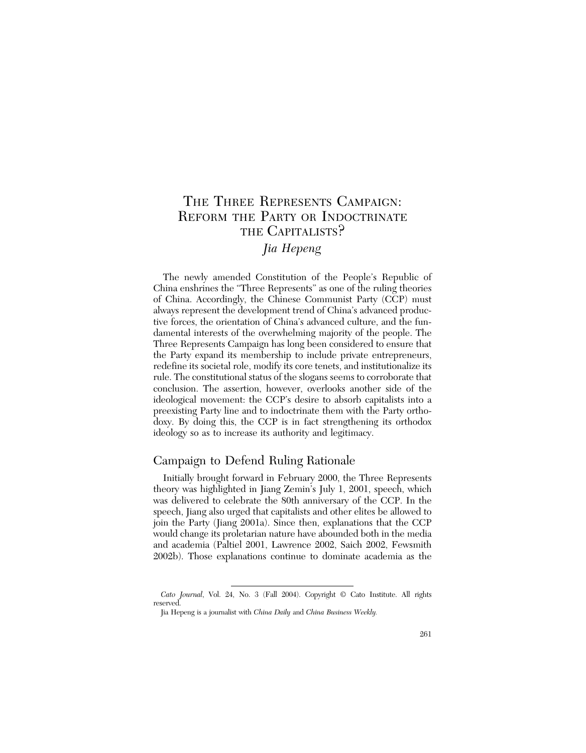# THE THREE REPRESENTS CAMPAIGN: REFORM THE PARTY OR INDOCTRINATE THE CAPITALISTS?

# *Jia Hepeng*

The newly amended Constitution of the People's Republic of China enshrines the "Three Represents" as one of the ruling theories of China. Accordingly, the Chinese Communist Party (CCP) must always represent the development trend of China's advanced productive forces, the orientation of China's advanced culture, and the fundamental interests of the overwhelming majority of the people. The Three Represents Campaign has long been considered to ensure that the Party expand its membership to include private entrepreneurs, redefine its societal role, modify its core tenets, and institutionalize its rule. The constitutional status of the slogans seems to corroborate that conclusion. The assertion, however, overlooks another side of the ideological movement: the CCP's desire to absorb capitalists into a preexisting Party line and to indoctrinate them with the Party orthodoxy. By doing this, the CCP is in fact strengthening its orthodox ideology so as to increase its authority and legitimacy.

## Campaign to Defend Ruling Rationale

Initially brought forward in February 2000, the Three Represents theory was highlighted in Jiang Zemin's July 1, 2001, speech, which was delivered to celebrate the 80th anniversary of the CCP. In the speech, Jiang also urged that capitalists and other elites be allowed to join the Party (Jiang 2001a). Since then, explanations that the CCP would change its proletarian nature have abounded both in the media and academia (Paltiel 2001, Lawrence 2002, Saich 2002, Fewsmith 2002b). Those explanations continue to dominate academia as the

*Cato Journal*, Vol. 24, No. 3 (Fall 2004). Copyright © Cato Institute. All rights reserved.

Jia Hepeng is a journalist with *China Daily* and *China Business Weekly.*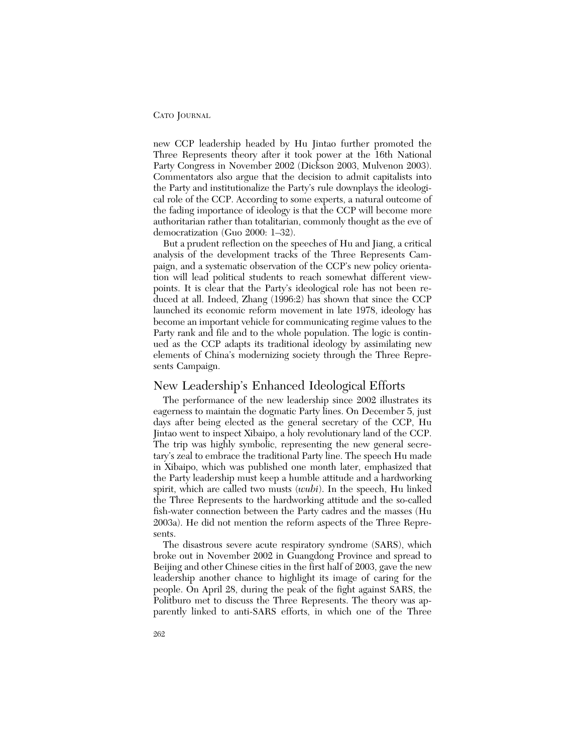new CCP leadership headed by Hu Jintao further promoted the Three Represents theory after it took power at the 16th National Party Congress in November 2002 (Dickson 2003, Mulvenon 2003). Commentators also argue that the decision to admit capitalists into the Party and institutionalize the Party's rule downplays the ideological role of the CCP. According to some experts, a natural outcome of the fading importance of ideology is that the CCP will become more authoritarian rather than totalitarian, commonly thought as the eve of democratization (Guo 2000: 1–32).

But a prudent reflection on the speeches of Hu and Jiang, a critical analysis of the development tracks of the Three Represents Campaign, and a systematic observation of the CCP's new policy orientation will lead political students to reach somewhat different viewpoints. It is clear that the Party's ideological role has not been reduced at all. Indeed, Zhang (1996:2) has shown that since the CCP launched its economic reform movement in late 1978, ideology has become an important vehicle for communicating regime values to the Party rank and file and to the whole population. The logic is continued as the CCP adapts its traditional ideology by assimilating new elements of China's modernizing society through the Three Represents Campaign.

### New Leadership's Enhanced Ideological Efforts

The performance of the new leadership since 2002 illustrates its eagerness to maintain the dogmatic Party lines. On December 5, just days after being elected as the general secretary of the CCP, Hu Jintao went to inspect Xibaipo, a holy revolutionary land of the CCP. The trip was highly symbolic, representing the new general secretary's zeal to embrace the traditional Party line. The speech Hu made in Xibaipo, which was published one month later, emphasized that the Party leadership must keep a humble attitude and a hardworking spirit, which are called two musts (*wubi*). In the speech, Hu linked the Three Represents to the hardworking attitude and the so-called fish-water connection between the Party cadres and the masses (Hu 2003a). He did not mention the reform aspects of the Three Represents.

The disastrous severe acute respiratory syndrome (SARS), which broke out in November 2002 in Guangdong Province and spread to Beijing and other Chinese cities in the first half of 2003, gave the new leadership another chance to highlight its image of caring for the people. On April 28, during the peak of the fight against SARS, the Politburo met to discuss the Three Represents. The theory was apparently linked to anti-SARS efforts, in which one of the Three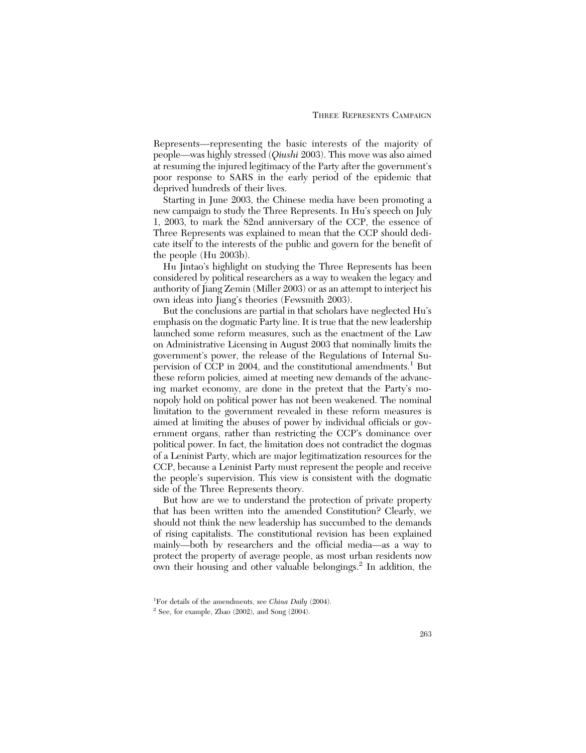Represents—representing the basic interests of the majority of people—was highly stressed (*Qiushi* 2003). This move was also aimed at resuming the injured legitimacy of the Party after the government's poor response to SARS in the early period of the epidemic that deprived hundreds of their lives.

Starting in June 2003, the Chinese media have been promoting a new campaign to study the Three Represents. In Hu's speech on July 1, 2003, to mark the 82nd anniversary of the CCP, the essence of Three Represents was explained to mean that the CCP should dedicate itself to the interests of the public and govern for the benefit of the people (Hu 2003b).

Hu Jintao's highlight on studying the Three Represents has been considered by political researchers as a way to weaken the legacy and authority of Jiang Zemin (Miller 2003) or as an attempt to interject his own ideas into Jiang's theories (Fewsmith 2003).

But the conclusions are partial in that scholars have neglected Hu's emphasis on the dogmatic Party line. It is true that the new leadership launched some reform measures, such as the enactment of the Law on Administrative Licensing in August 2003 that nominally limits the government's power, the release of the Regulations of Internal Supervision of CCP in 2004, and the constitutional amendments.<sup>1</sup> But these reform policies, aimed at meeting new demands of the advancing market economy, are done in the pretext that the Party's monopoly hold on political power has not been weakened. The nominal limitation to the government revealed in these reform measures is aimed at limiting the abuses of power by individual officials or government organs, rather than restricting the CCP's dominance over political power. In fact, the limitation does not contradict the dogmas of a Leninist Party, which are major legitimatization resources for the CCP, because a Leninist Party must represent the people and receive the people's supervision. This view is consistent with the dogmatic side of the Three Represents theory.

But how are we to understand the protection of private property that has been written into the amended Constitution? Clearly, we should not think the new leadership has succumbed to the demands of rising capitalists. The constitutional revision has been explained mainly—both by researchers and the official media—as a way to protect the property of average people, as most urban residents now own their housing and other valuable belongings.<sup>2</sup> In addition, the

<sup>1</sup> For details of the amendments, see *China Daily* (2004).

 $2^2$  See, for example, Zhao (2002), and Song (2004).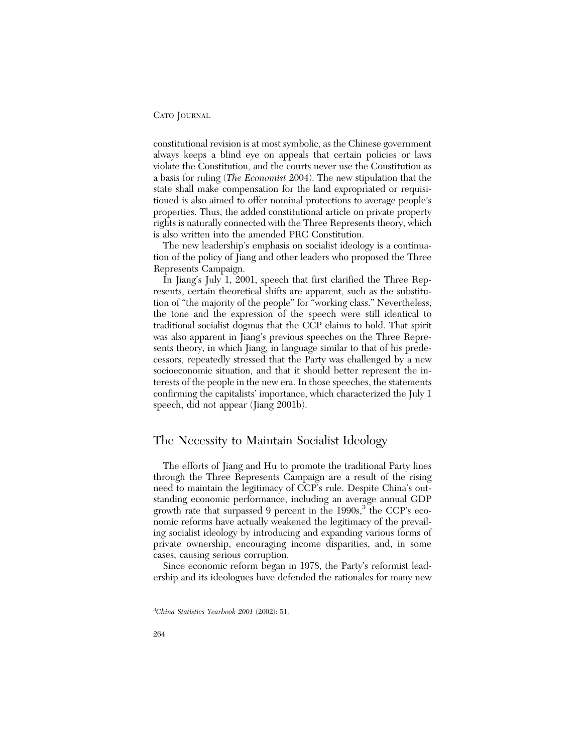constitutional revision is at most symbolic, as the Chinese government always keeps a blind eye on appeals that certain policies or laws violate the Constitution, and the courts never use the Constitution as a basis for ruling (*The Economist* 2004). The new stipulation that the state shall make compensation for the land expropriated or requisitioned is also aimed to offer nominal protections to average people's properties. Thus, the added constitutional article on private property rights is naturally connected with the Three Represents theory, which is also written into the amended PRC Constitution.

The new leadership's emphasis on socialist ideology is a continuation of the policy of Jiang and other leaders who proposed the Three Represents Campaign.

In Jiang's July 1, 2001, speech that first clarified the Three Represents, certain theoretical shifts are apparent, such as the substitution of "the majority of the people" for "working class." Nevertheless, the tone and the expression of the speech were still identical to traditional socialist dogmas that the CCP claims to hold. That spirit was also apparent in Jiang's previous speeches on the Three Represents theory, in which Jiang, in language similar to that of his predecessors, repeatedly stressed that the Party was challenged by a new socioeconomic situation, and that it should better represent the interests of the people in the new era. In those speeches, the statements confirming the capitalists' importance, which characterized the July 1 speech, did not appear (Jiang 2001b).

### The Necessity to Maintain Socialist Ideology

The efforts of Jiang and Hu to promote the traditional Party lines through the Three Represents Campaign are a result of the rising need to maintain the legitimacy of CCP's rule. Despite China's outstanding economic performance, including an average annual GDP growth rate that surpassed 9 percent in the  $1990s<sup>3</sup>$ , the CCP's economic reforms have actually weakened the legitimacy of the prevailing socialist ideology by introducing and expanding various forms of private ownership, encouraging income disparities, and, in some cases, causing serious corruption.

Since economic reform began in 1978, the Party's reformist leadership and its ideologues have defended the rationales for many new

<sup>3</sup> *China Statistics Yearbook 2001* (2002): 51.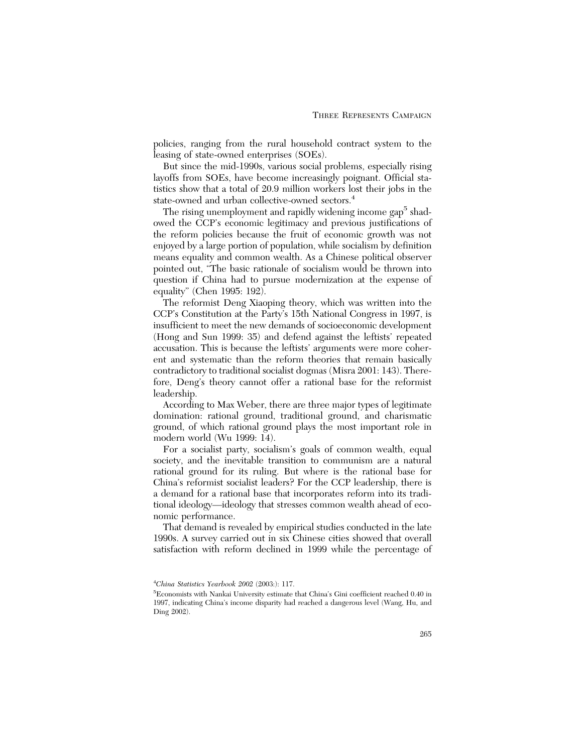policies, ranging from the rural household contract system to the leasing of state-owned enterprises (SOEs).

But since the mid-1990s, various social problems, especially rising layoffs from SOEs, have become increasingly poignant. Official statistics show that a total of 20.9 million workers lost their jobs in the state-owned and urban collective-owned sectors.<sup>4</sup>

The rising unemployment and rapidly widening income gap<sup>5</sup> shadowed the CCP's economic legitimacy and previous justifications of the reform policies because the fruit of economic growth was not enjoyed by a large portion of population, while socialism by definition means equality and common wealth. As a Chinese political observer pointed out, "The basic rationale of socialism would be thrown into question if China had to pursue modernization at the expense of equality" (Chen 1995: 192).

The reformist Deng Xiaoping theory, which was written into the CCP's Constitution at the Party's 15th National Congress in 1997, is insufficient to meet the new demands of socioeconomic development (Hong and Sun 1999: 35) and defend against the leftists' repeated accusation. This is because the leftists' arguments were more coherent and systematic than the reform theories that remain basically contradictory to traditional socialist dogmas (Misra 2001: 143). Therefore, Deng's theory cannot offer a rational base for the reformist leadership.

According to Max Weber, there are three major types of legitimate domination: rational ground, traditional ground, and charismatic ground, of which rational ground plays the most important role in modern world (Wu 1999: 14).

For a socialist party, socialism's goals of common wealth, equal society, and the inevitable transition to communism are a natural rational ground for its ruling. But where is the rational base for China's reformist socialist leaders? For the CCP leadership, there is a demand for a rational base that incorporates reform into its traditional ideology—ideology that stresses common wealth ahead of economic performance.

That demand is revealed by empirical studies conducted in the late 1990s. A survey carried out in six Chinese cities showed that overall satisfaction with reform declined in 1999 while the percentage of

<sup>4</sup> *China Statistics Yearbook 2002* (2003:): 117.

<sup>5</sup> Economists with Nankai University estimate that China's Gini coefficient reached 0.40 in 1997, indicating China's income disparity had reached a dangerous level (Wang, Hu, and Ding 2002).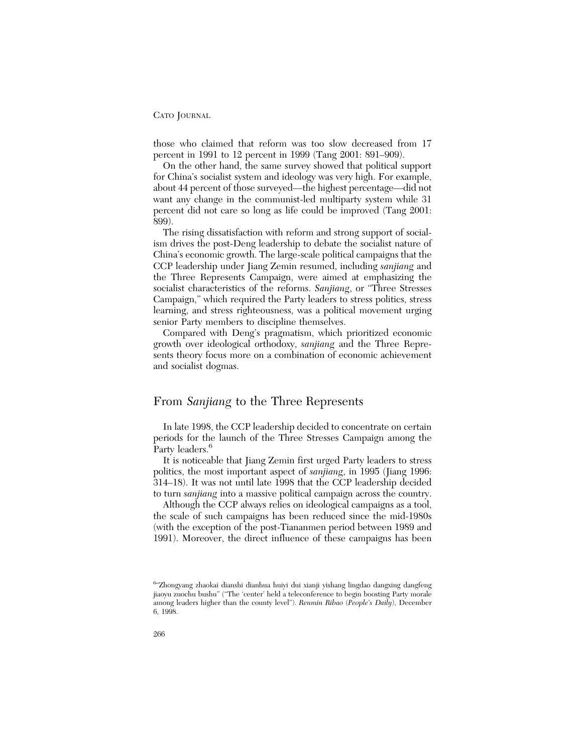those who claimed that reform was too slow decreased from 17 percent in 1991 to 12 percent in 1999 (Tang 2001: 891–909).

On the other hand, the same survey showed that political support for China's socialist system and ideology was very high. For example, about 44 percent of those surveyed—the highest percentage—did not want any change in the communist-led multiparty system while 31 percent did not care so long as life could be improved (Tang 2001: 899).

The rising dissatisfaction with reform and strong support of socialism drives the post-Deng leadership to debate the socialist nature of China's economic growth. The large-scale political campaigns that the CCP leadership under Jiang Zemin resumed, including *sanjiang* and the Three Represents Campaign, were aimed at emphasizing the socialist characteristics of the reforms. *Sanjiang*, or "Three Stresses Campaign," which required the Party leaders to stress politics, stress learning, and stress righteousness, was a political movement urging senior Party members to discipline themselves.

Compared with Deng's pragmatism, which prioritized economic growth over ideological orthodoxy, *sanjiang* and the Three Represents theory focus more on a combination of economic achievement and socialist dogmas.

## From *Sanjiang* to the Three Represents

In late 1998, the CCP leadership decided to concentrate on certain periods for the launch of the Three Stresses Campaign among the Party leaders.<sup>6</sup>

It is noticeable that Jiang Zemin first urged Party leaders to stress politics, the most important aspect of *sanjiang*, in 1995 (Jiang 1996: 314–18). It was not until late 1998 that the CCP leadership decided to turn *sanjiang* into a massive political campaign across the country.

Although the CCP always relies on ideological campaigns as a tool, the scale of such campaigns has been reduced since the mid-1980s (with the exception of the post-Tiananmen period between 1989 and 1991). Moreover, the direct influence of these campaigns has been

<sup>6</sup> "Zhongyang zhaokai dianshi dianhua huiyi dui xianji yishang lingdao dangxing dangfeng jiaoyu zuochu bushu" ("The 'center' held a teleconference to begin boosting Party morale among leaders higher than the county level"). *Renmin Ribao* (*People's Daily*), December 6, 1998.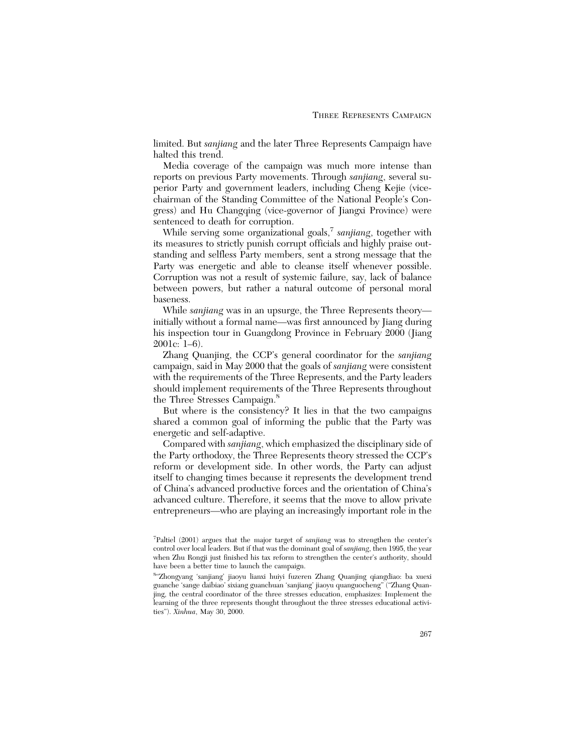limited. But *sanjiang* and the later Three Represents Campaign have halted this trend.

Media coverage of the campaign was much more intense than reports on previous Party movements. Through *sanjiang*, several superior Party and government leaders, including Cheng Kejie (vicechairman of the Standing Committee of the National People's Congress) and Hu Changqing (vice-governor of Jiangxi Province) were sentenced to death for corruption.

While serving some organizational goals,<sup>7</sup> *sanjiang*, together with its measures to strictly punish corrupt officials and highly praise outstanding and selfless Party members, sent a strong message that the Party was energetic and able to cleanse itself whenever possible. Corruption was not a result of systemic failure, say, lack of balance between powers, but rather a natural outcome of personal moral baseness.

While *sanjiang* was in an upsurge, the Three Represents theory initially without a formal name—was first announced by Jiang during his inspection tour in Guangdong Province in February 2000 (Jiang 2001c: 1–6).

Zhang Quanjing, the CCP's general coordinator for the *sanjiang* campaign, said in May 2000 that the goals of *sanjiang* were consistent with the requirements of the Three Represents, and the Party leaders should implement requirements of the Three Represents throughout the Three Stresses Campaign.<sup>8</sup>

But where is the consistency? It lies in that the two campaigns shared a common goal of informing the public that the Party was energetic and self-adaptive.

Compared with *sanjiang*, which emphasized the disciplinary side of the Party orthodoxy, the Three Represents theory stressed the CCP's reform or development side. In other words, the Party can adjust itself to changing times because it represents the development trend of China's advanced productive forces and the orientation of China's advanced culture. Therefore, it seems that the move to allow private entrepreneurs—who are playing an increasingly important role in the

<sup>7</sup> Paltiel (2001) argues that the major target of *sanjiang* was to strengthen the center's control over local leaders. But if that was the dominant goal of *sanjiang*, then 1995, the year when Zhu Rongji just finished his tax reform to strengthen the center's authority, should have been a better time to launch the campaign.

<sup>8</sup> "Zhongyang 'sanjiang' jiaoyu lianxi huiyi fuzeren Zhang Quanjing qiangdiao: ba xuexi guanche 'sange daibiao' sixiang guanchuan 'sanjiang' jiaoyu quanguocheng" ("Zhang Quanjing, the central coordinator of the three stresses education, emphasizes: Implement the learning of the three represents thought throughout the three stresses educational activities"). *Xinhua*, May 30, 2000.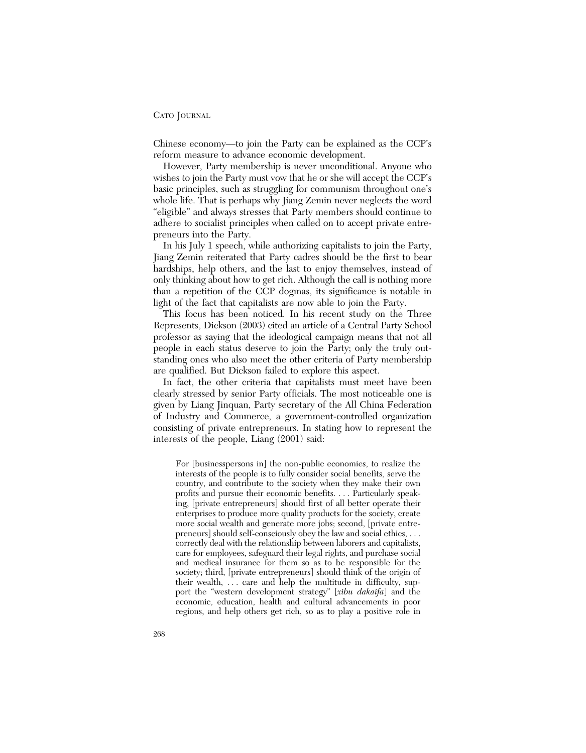Chinese economy—to join the Party can be explained as the CCP's reform measure to advance economic development.

However, Party membership is never unconditional. Anyone who wishes to join the Party must vow that he or she will accept the CCP's basic principles, such as struggling for communism throughout one's whole life. That is perhaps why Jiang Zemin never neglects the word "eligible" and always stresses that Party members should continue to adhere to socialist principles when called on to accept private entrepreneurs into the Party.

In his July 1 speech, while authorizing capitalists to join the Party, Jiang Zemin reiterated that Party cadres should be the first to bear hardships, help others, and the last to enjoy themselves, instead of only thinking about how to get rich. Although the call is nothing more than a repetition of the CCP dogmas, its significance is notable in light of the fact that capitalists are now able to join the Party.

This focus has been noticed. In his recent study on the Three Represents, Dickson (2003) cited an article of a Central Party School professor as saying that the ideological campaign means that not all people in each status deserve to join the Party; only the truly outstanding ones who also meet the other criteria of Party membership are qualified. But Dickson failed to explore this aspect.

In fact, the other criteria that capitalists must meet have been clearly stressed by senior Party officials. The most noticeable one is given by Liang Jinquan, Party secretary of the All China Federation of Industry and Commerce, a government-controlled organization consisting of private entrepreneurs. In stating how to represent the interests of the people, Liang (2001) said:

For [businesspersons in] the non-public economies, to realize the interests of the people is to fully consider social benefits, serve the country, and contribute to the society when they make their own profits and pursue their economic benefits. . . . Particularly speaking, [private entrepreneurs] should first of all better operate their enterprises to produce more quality products for the society, create more social wealth and generate more jobs; second, [private entrepreneurs] should self-consciously obey the law and social ethics, . . . correctly deal with the relationship between laborers and capitalists, care for employees, safeguard their legal rights, and purchase social and medical insurance for them so as to be responsible for the society; third, [private entrepreneurs] should think of the origin of their wealth, . . . care and help the multitude in difficulty, support the "western development strategy" [*xibu dakaifa*] and the economic, education, health and cultural advancements in poor regions, and help others get rich, so as to play a positive role in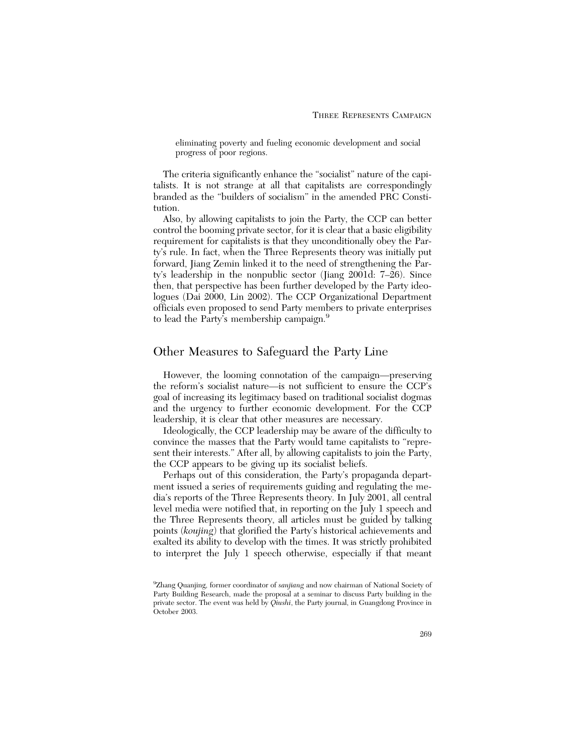eliminating poverty and fueling economic development and social progress of poor regions.

The criteria significantly enhance the "socialist" nature of the capitalists. It is not strange at all that capitalists are correspondingly branded as the "builders of socialism" in the amended PRC Constitution.

Also, by allowing capitalists to join the Party, the CCP can better control the booming private sector, for it is clear that a basic eligibility requirement for capitalists is that they unconditionally obey the Party's rule. In fact, when the Three Represents theory was initially put forward, Jiang Zemin linked it to the need of strengthening the Party's leadership in the nonpublic sector (Jiang 2001d: 7–26). Since then, that perspective has been further developed by the Party ideologues (Dai 2000, Lin 2002). The CCP Organizational Department officials even proposed to send Party members to private enterprises to lead the Party's membership campaign.<sup>9</sup>

### Other Measures to Safeguard the Party Line

However, the looming connotation of the campaign—preserving the reform's socialist nature—is not sufficient to ensure the CCP's goal of increasing its legitimacy based on traditional socialist dogmas and the urgency to further economic development. For the CCP leadership, it is clear that other measures are necessary.

Ideologically, the CCP leadership may be aware of the difficulty to convince the masses that the Party would tame capitalists to "represent their interests." After all, by allowing capitalists to join the Party, the CCP appears to be giving up its socialist beliefs.

Perhaps out of this consideration, the Party's propaganda department issued a series of requirements guiding and regulating the media's reports of the Three Represents theory. In July 2001, all central level media were notified that, in reporting on the July 1 speech and the Three Represents theory, all articles must be guided by talking points (*koujing*) that glorified the Party's historical achievements and exalted its ability to develop with the times. It was strictly prohibited to interpret the July 1 speech otherwise, especially if that meant

<sup>9</sup> Zhang Quanjing, former coordinator of *sanjiang* and now chairman of National Society of Party Building Research, made the proposal at a seminar to discuss Party building in the private sector. The event was held by *Qiushi*, the Party journal, in Guangdong Province in October 2003.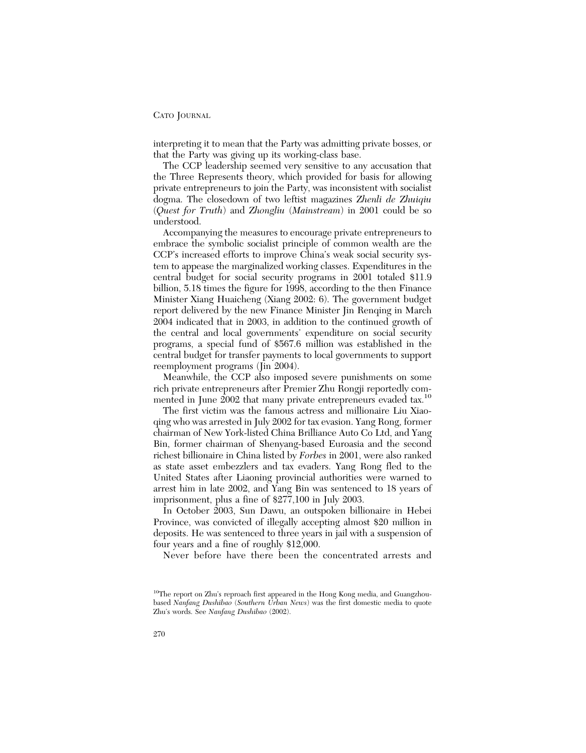interpreting it to mean that the Party was admitting private bosses, or that the Party was giving up its working-class base.

The CCP leadership seemed very sensitive to any accusation that the Three Represents theory, which provided for basis for allowing private entrepreneurs to join the Party, was inconsistent with socialist dogma. The closedown of two leftist magazines *Zhenli de Zhuiqiu* (*Quest for Truth*) and *Zhongliu* (*Mainstream*) in 2001 could be so understood.

Accompanying the measures to encourage private entrepreneurs to embrace the symbolic socialist principle of common wealth are the CCP's increased efforts to improve China's weak social security system to appease the marginalized working classes. Expenditures in the central budget for social security programs in 2001 totaled \$11.9 billion, 5.18 times the figure for 1998, according to the then Finance Minister Xiang Huaicheng (Xiang 2002: 6). The government budget report delivered by the new Finance Minister Jin Renqing in March 2004 indicated that in 2003, in addition to the continued growth of the central and local governments' expenditure on social security programs, a special fund of \$567.6 million was established in the central budget for transfer payments to local governments to support reemployment programs (Jin 2004).

Meanwhile, the CCP also imposed severe punishments on some rich private entrepreneurs after Premier Zhu Rongji reportedly commented in June 2002 that many private entrepreneurs evaded tax.<sup>10</sup>

The first victim was the famous actress and millionaire Liu Xiaoqing who was arrested in July 2002 for tax evasion. Yang Rong, former chairman of New York-listed China Brilliance Auto Co Ltd, and Yang Bin, former chairman of Shenyang-based Euroasia and the second richest billionaire in China listed by *Forbes* in 2001, were also ranked as state asset embezzlers and tax evaders. Yang Rong fled to the United States after Liaoning provincial authorities were warned to arrest him in late 2002, and Yang Bin was sentenced to 18 years of imprisonment, plus a fine of \$277,100 in July 2003.

In October 2003, Sun Dawu, an outspoken billionaire in Hebei Province, was convicted of illegally accepting almost \$20 million in deposits. He was sentenced to three years in jail with a suspension of four years and a fine of roughly \$12,000.

Never before have there been the concentrated arrests and

<sup>10</sup>The report on Zhu's reproach first appeared in the Hong Kong media, and Guangzhoubased *Nanfang Dushibao* (*Southern Urban News*) was the first domestic media to quote Zhu's words. See *Nanfang Dushibao* (2002).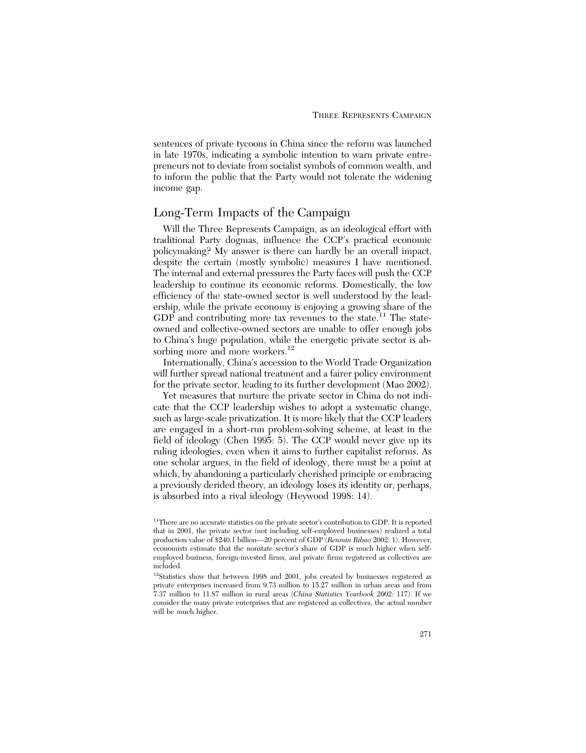sentences of private tycoons in China since the reform was launched in late 1970s, indicating a symbolic intention to warn private entrepreneurs not to deviate from socialist symbols of common wealth, and to inform the public that the Party would not tolerate the widening income gap.

# Long-Term Impacts of the Campaign

Will the Three Represents Campaign, as an ideological effort with traditional Party dogmas, influence the CCP's practical economic policymaking? My answer is there can hardly be an overall impact, despite the certain (mostly symbolic) measures I have mentioned. The internal and external pressures the Party faces will push the CCP leadership to continue its economic reforms. Domestically, the low efficiency of the state-owned sector is well understood by the leadership, while the private economy is enjoying a growing share of the GDP and contributing more tax revenues to the state<sup>11</sup> The stateowned and collective-owned sectors are unable to offer enough jobs to China's huge population, while the energetic private sector is absorbing more and more workers.<sup>12</sup>

Internationally, China's accession to the World Trade Organization will further spread national treatment and a fairer policy environment for the private sector, leading to its further development (Mao 2002).

Yet measures that nurture the private sector in China do not indicate that the CCP leadership wishes to adopt a systematic change, such as large-scale privatization. It is more likely that the CCP leaders are engaged in a short-run problem-solving scheme, at least in the field of ideology (Chen 1995: 5). The CCP would never give up its ruling ideologies, even when it aims to further capitalist reforms. As one scholar argues, in the field of ideology, there must be a point at which, by abandoning a particularly cherished principle or embracing a previously derided theory, an ideology loses its identity or, perhaps, is absorbed into a rival ideology (Heywood 1998: 14).

<sup>&</sup>lt;sup>11</sup>There are no accurate statistics on the private sector's contribution to GDP. It is reported that in 2001, the private sector (not including self-employed businesses) realized a total production value of \$240.1 billion—20 percent of GDP (*Renmin Ribao* 2002: 1). However, economists estimate that the nonstate sector's share of GDP is much higher when selfemployed business, foreign-invested firms, and private firms registered as collectives are included.

<sup>&</sup>lt;sup>12</sup>Statistics show that between 1998 and 2001, jobs created by businesses registered as private enterprises increased from 9.73 million to 15.27 million in urban areas and from 7.37 million to 11.87 million in rural areas (*China Statistics Yearbook 2002*: 117). If we consider the many private enterprises that are registered as collectives, the actual number will be much higher.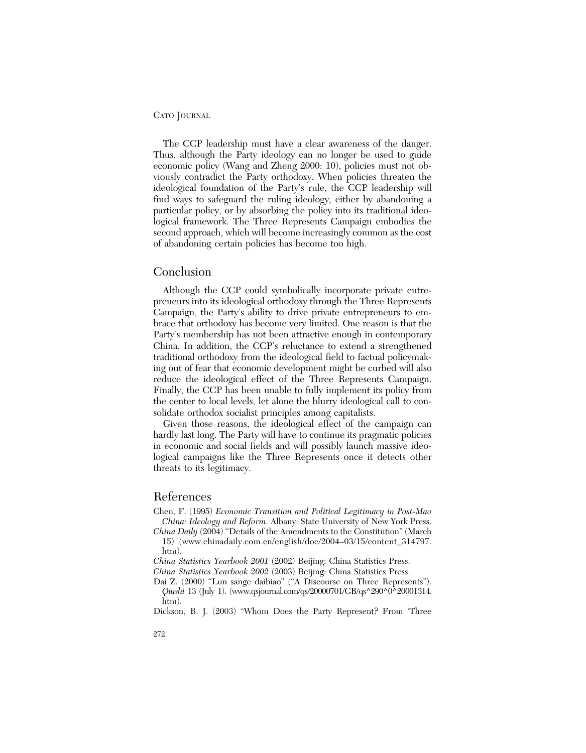The CCP leadership must have a clear awareness of the danger. Thus, although the Party ideology can no longer be used to guide economic policy (Wang and Zheng 2000: 10), policies must not obviously contradict the Party orthodoxy. When policies threaten the ideological foundation of the Party's rule, the CCP leadership will find ways to safeguard the ruling ideology, either by abandoning a particular policy, or by absorbing the policy into its traditional ideological framework. The Three Represents Campaign embodies the second approach, which will become increasingly common as the cost of abandoning certain policies has become too high.

### Conclusion

Although the CCP could symbolically incorporate private entrepreneurs into its ideological orthodoxy through the Three Represents Campaign, the Party's ability to drive private entrepreneurs to embrace that orthodoxy has become very limited. One reason is that the Party's membership has not been attractive enough in contemporary China. In addition, the CCP's reluctance to extend a strengthened traditional orthodoxy from the ideological field to factual policymaking out of fear that economic development might be curbed will also reduce the ideological effect of the Three Represents Campaign. Finally, the CCP has been unable to fully implement its policy from the center to local levels, let alone the blurry ideological call to consolidate orthodox socialist principles among capitalists.

Given those reasons, the ideological effect of the campaign can hardly last long. The Party will have to continue its pragmatic policies in economic and social fields and will possibly launch massive ideological campaigns like the Three Represents once it detects other threats to its legitimacy.

### References

- Chen, F. (1995) *Economic Transition and Political Legitimacy in Post-Mao China: Ideology and Reform*. Albany: State University of New York Press.
- *China Daily* (2004) "Details of the Amendments to the Constitution" (March 15) (www.chinadaily.com.cn/english/doc/2004–03/15/content\_314797. htm).
- *China Statistics Yearbook 2001* (2002) Beijing: China Statistics Press.

*China Statistics Yearbook 2002* (2003) Beijing: China Statistics Press.

- Dai Z. (2000) "Lun sange daibiao" ("A Discourse on Three Represents"). *Qiushi* 13 (July 1). (www.qsjournal.com/qs/20000701/GB/qs^290^0^20001314. htm).
- Dickson, B. J. (2003) "Whom Does the Party Represent? From 'Three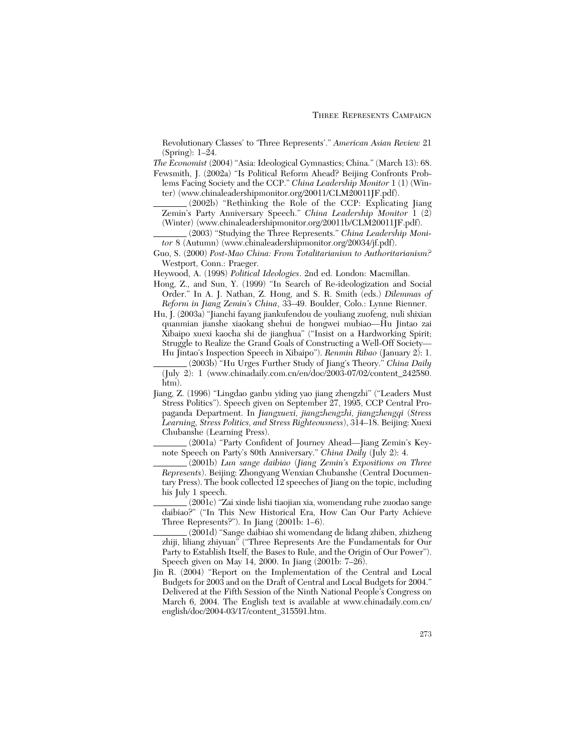Revolutionary Classes' to 'Three Represents'." *American Asian Review* 21 (Spring): 1–24.

*The Economist* (2004) "Asia: Ideological Gymnastics; China." (March 13): 68.

- Fewsmith, J. (2002a) "Is Political Reform Ahead? Beijing Confronts Problems Facing Society and the CCP." *China Leadership Monitor* 1 (1) (Winter) (www.chinaleadershipmonitor.org/20011/CLM20011JF.pdf).
	- (2002b) "Rethinking the Role of the CCP: Explicating Jiang Zemin's Party Anniversary Speech." *China Leadership Monitor* 1 (2) (Winter) (www.chinaleadershipmonitor.org/20011b/CLM20011JF.pdf).
	- (2003) "Studying the Three Represents." *China Leadership Monitor* 8 (Autumn) (www.chinaleadershipmonitor.org/20034/jf.pdf).
- Guo, S. (2000) *Post-Mao China: From Totalitarianism to Authoritarianism?* Westport, Conn.: Praeger.

Heywood, A. (1998) *Political Ideologies*. 2nd ed. London: Macmillan.

- Hong, Z., and Sun, Y. (1999) "In Search of Re-ideologization and Social Order." In A. J. Nathan, Z. Hong, and S. R. Smith (eds.) *Dilemmas of Reform in Jiang Zemin's China*, 33–49. Boulder, Colo.: Lynne Rienner.
- Hu, J. (2003a) "Jianchi fayang jiankufendou de youliang zuofeng, nuli shixian quanmian jianshe xiaokang shehui de hongwei mubiao—Hu Jintao zai Xibaipo xuexi kaocha shi de jianghua" ("Insist on a Hardworking Spirit; Struggle to Realize the Grand Goals of Constructing a Well-Off Society— Hu Jintao's Inspection Speech in Xibaipo"). *Renmin Ribao* (January 2): 1.
- (2003b) "Hu Urges Further Study of Jiang's Theory." *China Daily* (July 2): 1 (www.chinadaily.com.cn/en/doc/2003-07/02/content\_242580. htm).
- Jiang, Z. (1996) "Lingdao ganbu yiding yao jiang zhengzhi" ("Leaders Must Stress Politics"). Speech given on September 27, 1995, CCP Central Propaganda Department. In *Jiangxuexi, jiangzhengzhi, jiangzhengqi* (*Stress Learning, Stress Politics, and Stress Righteousness*), 314–18. Beijing: Xuexi Chubanshe (Learning Press).
	- (2001a) "Party Confident of Journey Ahead—Jiang Zemin's Keynote Speech on Party's 80th Anniversary." *China Daily* (July 2): 4.
	- (2001b) *Lun sange daibiao* (*Jiang Zemin's Expositions on Three Represents*). Beijing: Zhongyang Wenxian Chubanshe (Central Documentary Press). The book collected 12 speeches of Jiang on the topic, including his July 1 speech.

(2001c) "Zai xinde lishi tiaojian xia, womendang ruhe zuodao sange daibiao?" ("In This New Historical Era, How Can Our Party Achieve Three Represents?"). In Jiang (2001b: 1–6).

(2001d) "Sange daibiao shi womendang de lidang zhiben, zhizheng zhiji, liliang zhiyuan" ("Three Represents Are the Fundamentals for Our Party to Establish Itself, the Bases to Rule, and the Origin of Our Power"). Speech given on May 14, 2000. In Jiang (2001b: 7–26).

Jin R. (2004) "Report on the Implementation of the Central and Local Budgets for 2003 and on the Draft of Central and Local Budgets for 2004." Delivered at the Fifth Session of the Ninth National People's Congress on March 6, 2004. The English text is available at www.chinadaily.com.cn/ english/doc/2004-03/17/content\_315591.htm.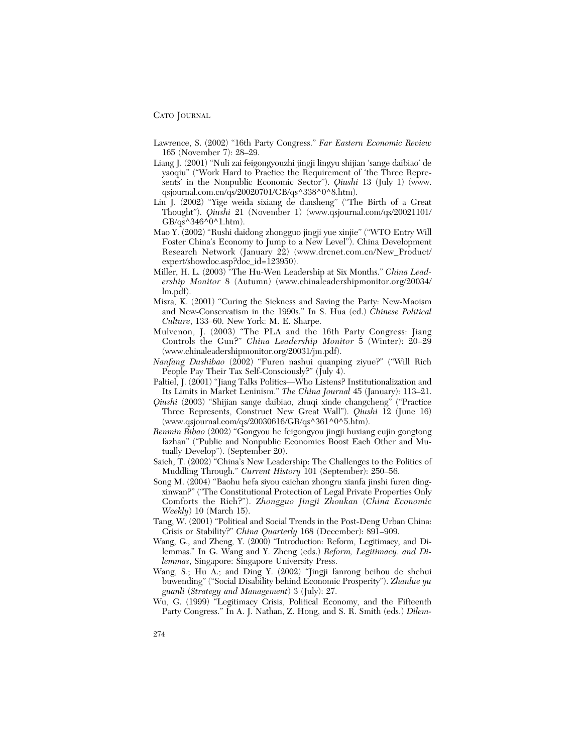- Lawrence, S. (2002) "16th Party Congress." *Far Eastern Economic Review* 165 (November 7): 28–29.
- Liang J. (2001) "Nuli zai feigongyouzhi jingji lingyu shijian 'sange daibiao' de yaoqiu" ("Work Hard to Practice the Requirement of 'the Three Represents' in the Nonpublic Economic Sector"). *Qiushi* 13 (July 1) (www. qsjournal.com.cn/qs/20020701/GB/qs^338^0^8.htm).
- Lin J. (2002) "Yige weida sixiang de dansheng" ("The Birth of a Great Thought"). *Qiushi* 21 (November 1) (www.qsjournal.com/qs/20021101/  $GB\alpha_8^3$ <sup> $\lambda$ </sup>346<sup> $\lambda$ </sup> $\overline{0}$ <sup> $\lambda$ </sup>1.htm).
- Mao Y. (2002) "Rushi daidong zhongguo jingji yue xinjie" ("WTO Entry Will Foster China's Economy to Jump to a New Level"). China Development Research Network (January 22) (www.drcnet.com.cn/New\_Product/ expert/showdoc.asp?doc\_id=123950).
- Miller, H. L. (2003) "The Hu-Wen Leadership at Six Months." *China Leadership Monitor* 8 (Autumn) (www.chinaleadershipmonitor.org/20034/ lm.pdf).
- Misra, K. (2001) "Curing the Sickness and Saving the Party: New-Maoism and New-Conservatism in the 1990s." In S. Hua (ed.) *Chinese Political Culture*, 133–60. New York: M. E. Sharpe.
- Mulvenon, J. (2003) "The PLA and the 16th Party Congress: Jiang Controls the Gun?" *China Leadership Monitor* 5 (Winter): 20–29 (www.chinaleadershipmonitor.org/20031/jm.pdf).
- *Nanfang Dushibao* (2002) "Furen nashui quanping ziyue?" ("Will Rich People Pay Their Tax Self-Consciously?" (July 4).
- Paltiel, J. (2001) "Jiang Talks Politics—Who Listens? Institutionalization and Its Limits in Market Leninism." *The China Journal* 45 (January): 113–21.
- *Qiushi* (2003) "Shijian sange daibiao, zhuqi xinde changcheng" ("Practice Three Represents, Construct New Great Wall"). *Qiushi* 12 (June 16) (www.qsjournal.com/qs/20030616/GB/qs^361^0^5.htm).
- *Renmin Ribao* (2002) "Gongyou he feigongyou jingji huxiang cujin gongtong fazhan" ("Public and Nonpublic Economies Boost Each Other and Mutually Develop"). (September 20).
- Saich, T. (2002) "China's New Leadership: The Challenges to the Politics of Muddling Through." *Current History* 101 (September): 250–56.
- Song M. (2004) "Baohu hefa siyou caichan zhongru xianfa jinshi furen dingxinwan?" ("The Constitutional Protection of Legal Private Properties Only Comforts the Rich?"). *Zhongguo Jingji Zhoukan* (*China Economic Weekly*) 10 (March 15).
- Tang, W. (2001) "Political and Social Trends in the Post-Deng Urban China: Crisis or Stability?" *China Quarterly* 168 (December): 891–909.
- Wang, G., and Zheng, Y. (2000) "Introduction: Reform, Legitimacy, and Dilemmas." In G. Wang and Y. Zheng (eds.) *Reform, Legitimacy, and Dilemmas*, Singapore: Singapore University Press.
- Wang, S.; Hu A.; and Ding Y. (2002) "Jingji fanrong beihou de shehui buwending" ("Social Disability behind Economic Prosperity"). *Zhanlue yu guanli* (*Strategy and Management*) 3 (July): 27.
- Wu, G. (1999) "Legitimacy Crisis, Political Economy, and the Fifteenth Party Congress." In A. J. Nathan, Z. Hong, and S. R. Smith (eds.) *Dilem-*